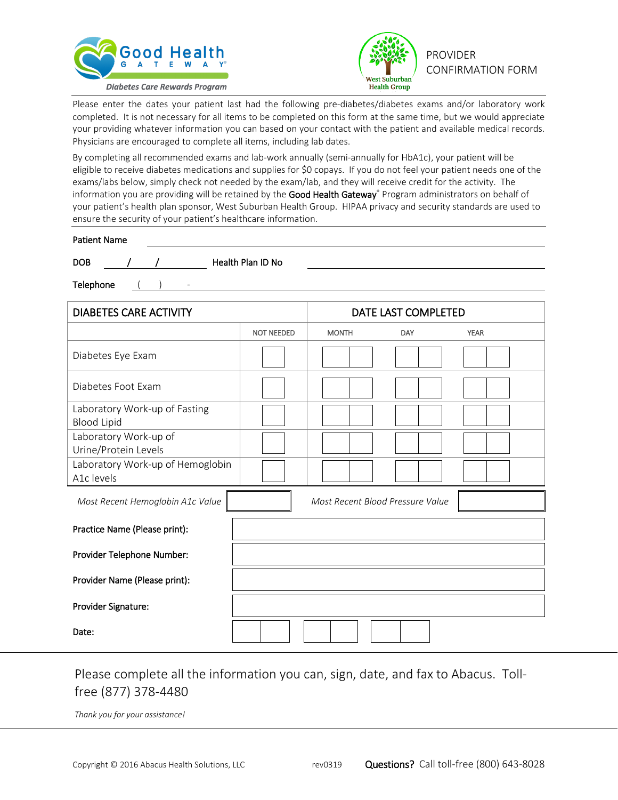



Please enter the dates your patient last had the following pre-diabetes/diabetes exams and/or laboratory work completed. It is not necessary for all items to be completed on this form at the same time, but we would appreciate your providing whatever information you can based on your contact with the patient and available medical records. Physicians are encouraged to complete all items, including lab dates.

By completing all recommended exams and lab-work annually (semi-annually for HbA1c), your patient will be eligible to receive diabetes medications and supplies for \$0 copays. If you do not feel your patient needs one of the exams/labs below, simply check not needed by the exam/lab, and they will receive credit for the activity. The information you are providing will be retained by the Good Health Gateway® Program administrators on behalf of your patient's health plan sponsor, West Suburban Health Group. HIPAA privacy and security standards are used to ensure the security of your patient's healthcare information.

| <b>Patient Name</b>           |                          |                   |                     |  |  |
|-------------------------------|--------------------------|-------------------|---------------------|--|--|
| <b>DOB</b>                    |                          | Health Plan ID No |                     |  |  |
| Telephone                     | $\overline{\phantom{a}}$ |                   |                     |  |  |
|                               |                          |                   |                     |  |  |
| <b>DIABETES CARE ACTIVITY</b> |                          |                   | DATE LAST COMPLETED |  |  |

|                                                     | <b>NOT NEEDED</b> | <b>MONTH</b>                     | DAY | <b>YEAR</b> |
|-----------------------------------------------------|-------------------|----------------------------------|-----|-------------|
| Diabetes Eye Exam                                   |                   |                                  |     |             |
| Diabetes Foot Exam                                  |                   |                                  |     |             |
| Laboratory Work-up of Fasting<br><b>Blood Lipid</b> |                   |                                  |     |             |
| Laboratory Work-up of<br>Urine/Protein Levels       |                   |                                  |     |             |
| Laboratory Work-up of Hemoglobin<br>A1c levels      |                   |                                  |     |             |
| Most Recent Hemoglobin A1c Value                    |                   | Most Recent Blood Pressure Value |     |             |
|                                                     |                   |                                  |     |             |
| Practice Name (Please print):                       |                   |                                  |     |             |
| Provider Telephone Number:                          |                   |                                  |     |             |
| Provider Name (Please print):                       |                   |                                  |     |             |
| Provider Signature:                                 |                   |                                  |     |             |

## Please complete all the information you can, sign, date, and fax to Abacus. Tollfree (877) 378-4480

*Thank you for your assistance!*